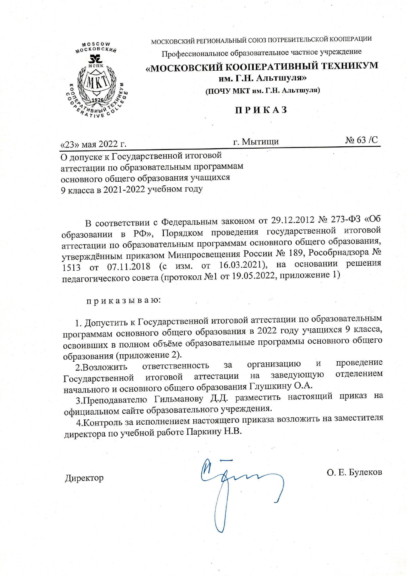МОСКОВСКИЙ РЕГИОНАЛЬНЫЙ СОЮЗ ПОТРЕБИТЕЛЬСКОЙ КООПЕРАЦИИ



Профессиональное образовательное частное учреждение

«МОСКОВСКИЙ КООПЕРАТИВНЫЙ ТЕХНИКУМ

им. Г.Н. Альтшуля»

(ПОЧУ МКТ им. Г.Н. Альтшуля)

## **ПРИКАЗ**

 $N<sub>2</sub>$  63 /C г. Мытищи «23» мая 2022 г. О допуске к Государственной итоговой аттестации по образовательным программам основного общего образования учащихся

9 класса в 2021-2022 учебном году

В соответствии с Федеральным законом от 29.12.2012 № 273-ФЗ «Об образовании в РФ», Порядком проведения государственной итоговой аттестации по образовательным программам основного общего образования, утверждённым приказом Минпросвещения России № 189, Рособрнадзора № 1513 от 07.11.2018 (с изм. от 16.03.2021), на основании решения педагогического совета (протокол №1 от 19.05.2022, приложение 1)

приказываю:

1. Допустить к Государственной итоговой аттестации по образовательным программам основного общего образования в 2022 году учащихся 9 класса, освоивших в полном объёме образовательные программы основного общего образования (приложение 2).

организацию проведение И за ответственность 2.Возложить отделением заведующую на итоговой аттестации Государственной начального и основного общего образования Глушкину О.А.

3. Преподавателю Гильманову Д.Д. разместить настоящий приказ на официальном сайте образовательного учреждения.

4. Контроль за исполнением настоящего приказа возложить на заместителя директора по учебной работе Паркину Н.В.

Директор

О. Е. Булеков